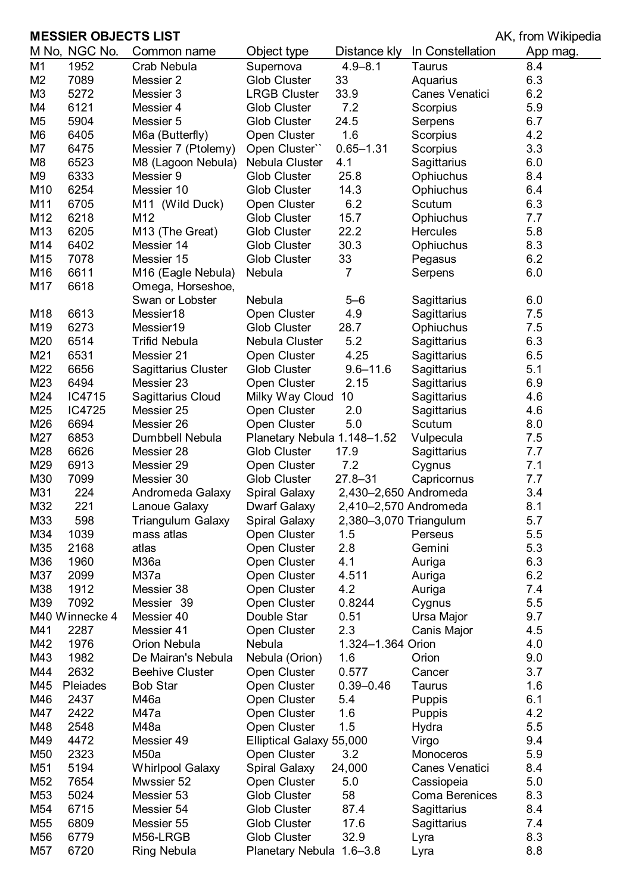## **MESSIER OBJECTS LIST MESSIER OBJECTS LIST**

|                 | M No, NGC No.  | Common name                | Object type                 | Distance kly           | In Constellation | App mag. |
|-----------------|----------------|----------------------------|-----------------------------|------------------------|------------------|----------|
| M1              | 1952           | Crab Nebula                | Supernova                   | $4.9 - 8.1$            | Taurus           | 8.4      |
| M <sub>2</sub>  | 7089           | Messier 2                  | <b>Glob Cluster</b>         | 33                     | Aquarius         | 6.3      |
| M <sub>3</sub>  | 5272           | Messier 3                  | <b>LRGB Cluster</b>         | 33.9                   | Canes Venatici   | 6.2      |
| M4              | 6121           | Messier 4                  | Glob Cluster                | 7.2                    | Scorpius         | 5.9      |
| M <sub>5</sub>  | 5904           | Messier 5                  | <b>Glob Cluster</b>         | 24.5                   | Serpens          | 6.7      |
| M <sub>6</sub>  | 6405           | M6a (Butterfly)            | Open Cluster                | 1.6                    | Scorpius         | 4.2      |
| M7              | 6475           | Messier 7 (Ptolemy)        | Open Cluster"               | $0.65 - 1.31$          | Scorpius         | 3.3      |
| M <sub>8</sub>  | 6523           | M8 (Lagoon Nebula)         | Nebula Cluster              | 4.1                    | Sagittarius      | 6.0      |
| M <sub>9</sub>  | 6333           | Messier 9                  | Glob Cluster                | 25.8                   | Ophiuchus        | 8.4      |
| M10             | 6254           | Messier 10                 | <b>Glob Cluster</b>         | 14.3                   | Ophiuchus        | 6.4      |
| M11             | 6705           | M11 (Wild Duck)            | Open Cluster                | 6.2                    | Scutum           | 6.3      |
| M12             | 6218           | M12                        | <b>Glob Cluster</b>         | 15.7                   | Ophiuchus        | 7.7      |
| M13             | 6205           | M13 (The Great)            | <b>Glob Cluster</b>         | 22.2                   | <b>Hercules</b>  | 5.8      |
| M14             | 6402           | Messier 14                 | Glob Cluster                | 30.3                   | Ophiuchus        | 8.3      |
| M15             | 7078           | Messier 15                 | <b>Glob Cluster</b>         | 33                     | Pegasus          | 6.2      |
| M16             | 6611           | M16 (Eagle Nebula)         | Nebula                      | 7                      | Serpens          | 6.0      |
| M17             | 6618           | Omega, Horseshoe,          |                             |                        |                  |          |
|                 |                | Swan or Lobster            | Nebula                      | $5 - 6$                | Sagittarius      | 6.0      |
| M18             | 6613           | Messier18                  | Open Cluster                | 4.9                    | Sagittarius      | 7.5      |
| M19             | 6273           | Messier19                  | Glob Cluster                | 28.7                   | Ophiuchus        | 7.5      |
| M20             | 6514           | <b>Trifid Nebula</b>       | Nebula Cluster              | 5.2                    |                  | 6.3      |
|                 |                |                            |                             |                        | Sagittarius      |          |
| M21             | 6531           | Messier 21                 | Open Cluster                | 4.25                   | Sagittarius      | 6.5      |
| M22             | 6656           | <b>Sagittarius Cluster</b> | <b>Glob Cluster</b>         | $9.6 - 11.6$           | Sagittarius      | 5.1      |
| M23             | 6494           | Messier 23                 | Open Cluster                | 2.15                   | Sagittarius      | 6.9      |
| M24             | IC4715         | Sagittarius Cloud          | Milky Way Cloud             | 10                     | Sagittarius      | 4.6      |
| M25             | IC4725         | Messier 25                 | Open Cluster                | 2.0                    | Sagittarius      | 4.6      |
| M26             | 6694           | Messier 26                 | Open Cluster                | 5.0                    | Scutum           | 8.0      |
| M27             | 6853           | Dumbbell Nebula            | Planetary Nebula 1.148-1.52 |                        | Vulpecula        | 7.5      |
| M28             | 6626           | Messier 28                 | <b>Glob Cluster</b>         | 17.9                   | Sagittarius      | 7.7      |
| M29             | 6913           | Messier 29                 | Open Cluster                | 7.2                    | Cygnus           | 7.1      |
| M30             | 7099           | Messier 30                 | <b>Glob Cluster</b>         | $27.8 - 31$            | Capricornus      | 7.7      |
| M31             | 224            | Andromeda Galaxy           | <b>Spiral Galaxy</b>        | 2,430-2,650 Andromeda  |                  | 3.4      |
| M32             | 221            | Lanoue Galaxy              | Dwarf Galaxy                | 2,410-2,570 Andromeda  |                  | 8.1      |
| M33             | 598            | <b>Triangulum Galaxy</b>   | <b>Spiral Galaxy</b>        | 2,380-3,070 Triangulum |                  | 5.7      |
| M34             | 1039           | mass atlas                 | Open Cluster                | 1.5                    | Perseus          | 5.5      |
| M35             | 2168           | atlas                      | Open Cluster                | 2.8                    | Gemini           | 5.3      |
| M36             | 1960           | M36a                       | Open Cluster                | 4.1                    | Auriga           | 6.3      |
| M37             | 2099           | M37a                       | Open Cluster                | 4.511                  | Auriga           | 6.2      |
| M38             | 1912           | Messier 38                 | Open Cluster                | 4.2                    | Auriga           | 7.4      |
| M39             | 7092           | Messier 39                 | Open Cluster                | 0.8244                 | Cygnus           | 5.5      |
|                 | M40 Winnecke 4 | Messier 40                 | Double Star                 | 0.51                   | Ursa Major       | 9.7      |
| M41             | 2287           | Messier 41                 | Open Cluster                | 2.3                    | Canis Major      | 4.5      |
| M42             | 1976           | Orion Nebula               | Nebula                      | 1.324-1.364 Orion      |                  | 4.0      |
| M43             | 1982           | De Mairan's Nebula         | Nebula (Orion)              | 1.6                    | Orion            | 9.0      |
| M44             | 2632           | <b>Beehive Cluster</b>     | Open Cluster                | 0.577                  | Cancer           | 3.7      |
| M45             | Pleiades       | <b>Bob Star</b>            | Open Cluster                | $0.39 - 0.46$          | Taurus           | 1.6      |
| M46             | 2437           | M46a                       | Open Cluster                | 5.4                    | Puppis           | 6.1      |
| M47             | 2422           | M47a                       | Open Cluster                | 1.6                    | Puppis           | 4.2      |
| M48             | 2548           | M48a                       | Open Cluster                | 1.5                    | Hydra            | 5.5      |
| M49             | 4472           | Messier 49                 | Elliptical Galaxy 55,000    |                        | Virgo            | 9.4      |
| M50             | 2323           | M <sub>50</sub> a          | Open Cluster                | 3.2                    | Monoceros        | 5.9      |
| M51             | 5194           | <b>Whirlpool Galaxy</b>    | <b>Spiral Galaxy</b>        | 24,000                 | Canes Venatici   | 8.4      |
| M <sub>52</sub> | 7654           | Mwssier 52                 | Open Cluster                | 5.0                    | Cassiopeia       | 5.0      |
| M <sub>53</sub> | 5024           | Messier 53                 | Glob Cluster                | 58                     | Coma Berenices   | 8.3      |
| M54             | 6715           | Messier 54                 | <b>Glob Cluster</b>         | 87.4                   | Sagittarius      | 8.4      |
| M <sub>55</sub> | 6809           | Messier 55                 | Glob Cluster                | 17.6                   | Sagittarius      | 7.4      |
| M56             | 6779           | M56-LRGB                   | <b>Glob Cluster</b>         | 32.9                   | Lyra             | 8.3      |
| M57             | 6720           | Ring Nebula                | Planetary Nebula 1.6-3.8    |                        | Lyra             | 8.8      |